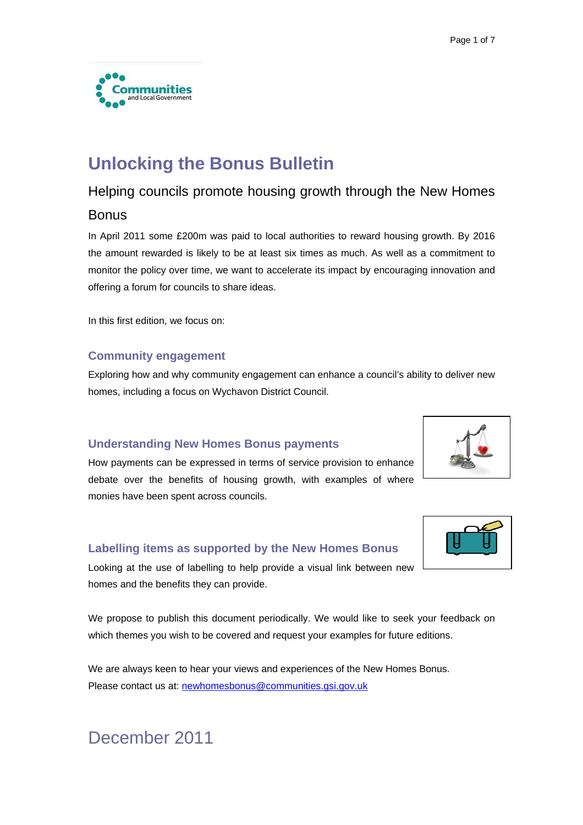

## **Unlocking the Bonus Bulletin**

## Helping councils promote housing growth through the New Homes

## **Bonus**

In April 2011 some £200m was paid to local authorities to reward housing growth. By 2016 the amount rewarded is likely to be at least six times as much. As well as a commitment to monitor the policy over time, we want to accelerate its impact by encouraging innovation and offering a forum for councils to share ideas.

In this first edition, we focus on:

### **Community engagement**

Exploring how and why community engagement can enhance a council's ability to deliver new homes, including a focus on Wychavon District Council.

### **Understanding New Homes Bonus payments**

How payments can be expressed in terms of service provision to enhance debate over the benefits of housing growth, with examples of where monies have been spent across councils.

### **Labelling items as supported by the New Homes Bonus**



Looking at the use of labelling to help provide a visual link between new homes and the benefits they can provide.

We propose to publish this document periodically. We would like to seek your feedback on which themes you wish to be covered and request your examples for future editions.

We are always keen to hear your views and experiences of the New Homes Bonus. Please contact us at: [newhomesbonus@communities.gsi.gov.uk](mailto:newhomesbonus@communities.gsi.gov.uk)

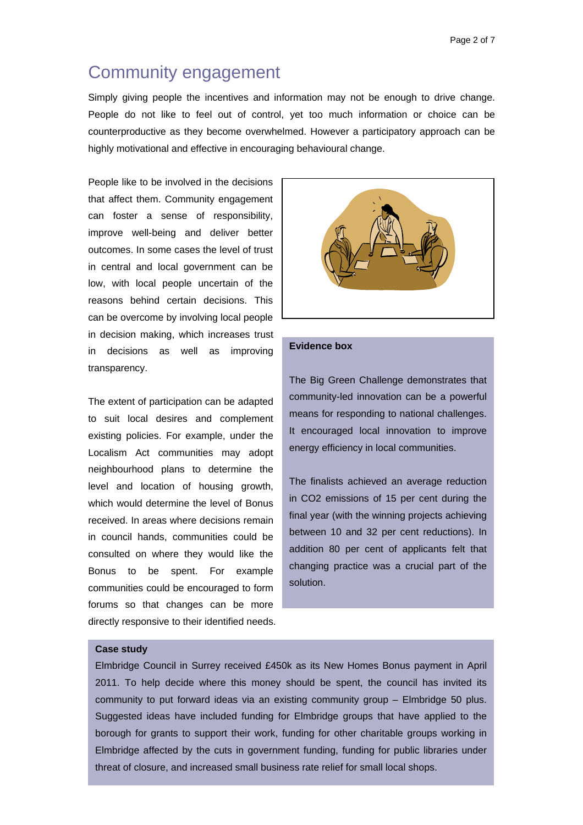## Community engagement

Simply giving people the incentives and information may not be enough to drive change. People do not like to feel out of control, yet too much information or choice can be counterproductive as they become overwhelmed. However a participatory approach can be highly motivational and effective in encouraging behavioural change.

People like to be involved in the decisions that affect them. Community engagement can foster a sense of responsibility, improve well-being and deliver better outcomes. In some cases the level of trust in central and local government can be low, with local people uncertain of the reasons behind certain decisions. This can be overcome by involving local people in decision making, which increases trust in decisions as well as improving transparency.

The extent of participation can be adapted to suit local desires and complement existing policies. For example, under the Localism Act communities may adopt neighbourhood plans to determine the level and location of housing growth, which would determine the level of Bonus received. In areas where decisions remain in council hands, communities could be consulted on where they would like the Bonus to be spent. For example communities could be encouraged to form forums so that changes can be more directly responsive to their identified needs.



#### **Evidence box**

The Big Green Challenge demonstrates that community-led innovation can be a powerful means for responding to national challenges. It encouraged local innovation to improve energy efficiency in local communities.

The finalists achieved an average reduction in CO2 emissions of 15 per cent during the final year (with the winning projects achieving between 10 and 32 per cent reductions). In addition 80 per cent of applicants felt that changing practice was a crucial part of the solution.

#### **Case study**

Elmbridge Council in Surrey received £450k as its New Homes Bonus payment in April 2011. To help decide where this money should be spent, the council has invited its community to put forward ideas via an existing community group – Elmbridge 50 plus. Suggested ideas have included funding for Elmbridge groups that have applied to the borough for grants to support their work, funding for other charitable groups working in Elmbridge affected by the cuts in government funding, funding for public libraries under threat of closure, and increased small business rate relief for small local shops.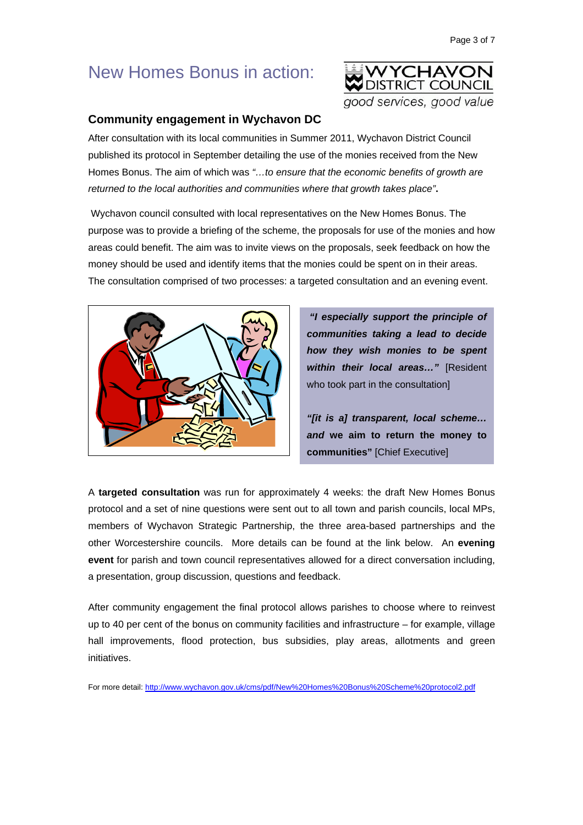## New Homes Bonus in action:



### **Community engagement in Wychavon DC**

After consultation with its local communities in Summer 2011, Wychavon District Council published its protocol in September detailing the use of the monies received from the New Homes Bonus. The aim of which was *"…to ensure that the economic benefits of growth are returned to the local authorities and communities where that growth takes place"***.** 

 Wychavon council consulted with local representatives on the New Homes Bonus. The purpose was to provide a briefing of the scheme, the proposals for use of the monies and how areas could benefit. The aim was to invite views on the proposals, seek feedback on how the money should be used and identify items that the monies could be spent on in their areas. The consultation comprised of two processes: a targeted consultation and an evening event.



*"I especially support the principle of communities taking a lead to decide how they wish monies to be spent within their local areas…"* [Resident who took part in the consultation]

*"[it is a] transparent, local scheme… and* **we aim to return the money to communities"** [Chief Executive]

A **targeted consultation** was run for approximately 4 weeks: the draft New Homes Bonus protocol and a set of nine questions were sent out to all town and parish councils, local MPs, members of Wychavon Strategic Partnership, the three area-based partnerships and the other Worcestershire councils. More details can be found at the link below. An **evening event** for parish and town council representatives allowed for a direct conversation including, a presentation, group discussion, questions and feedback.

After community engagement the final protocol allows parishes to choose where to reinvest up to 40 per cent of the bonus on community facilities and infrastructure – for example, village hall improvements, flood protection, bus subsidies, play areas, allotments and green initiatives.

For more detail: <http://www.wychavon.gov.uk/cms/pdf/New%20Homes%20Bonus%20Scheme%20protocol2.pdf>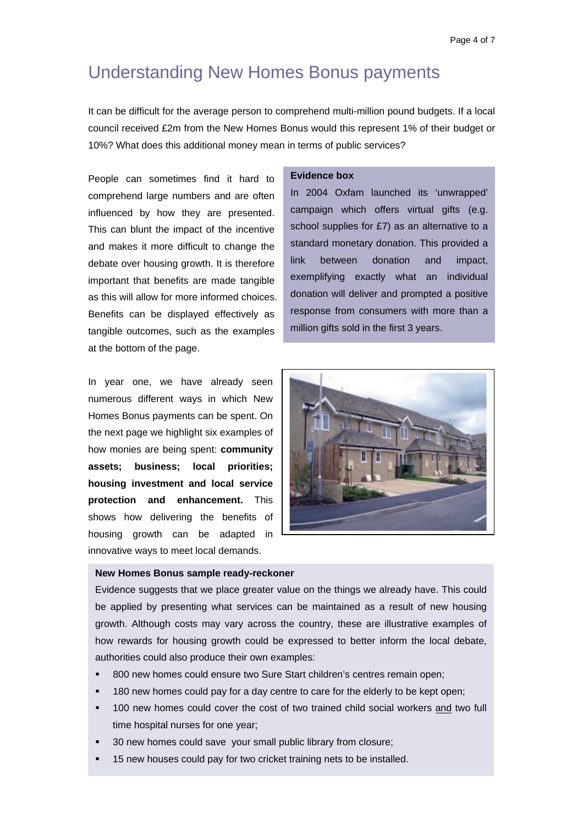## Understanding New Homes Bonus payments

It can be difficult for the average person to comprehend multi-million pound budgets. If a local council received £2m from the New Homes Bonus would this represent 1% of their budget or 10%? What does this additional money mean in terms of public services?

People can sometimes find it hard to comprehend large numbers and are often influenced by how they are presented. This can blunt the impact of the incentive and makes it more difficult to change the debate over housing growth. It is therefore important that benefits are made tangible as this will allow for more informed choices. Benefits can be displayed effectively as tangible outcomes, such as the examples at the bottom of the page.

In year one, we have already seen numerous different ways in which New Homes Bonus payments can be spent. On the next page we highlight six examples of how monies are being spent: **community assets; business; local priorities; housing investment and local service protection and enhancement.** This shows how delivering the benefits of housing growth can be adapted in innovative ways to meet local demands.

#### **Evidence box**

In 2004 Oxfam launched its 'unwrapped' campaign which offers virtual gifts (e.g. school supplies for £7) as an alternative to a standard monetary donation. This provided a link between donation and impact, exemplifying exactly what an individual donation will deliver and prompted a positive response from consumers with more than a million gifts sold in the first 3 years.



#### **New Homes Bonus sample ready-reckoner**

Evidence suggests that we place greater value on the things we already have. This could be applied by presenting what services can be maintained as a result of new housing growth. Although costs may vary across the country, these are illustrative examples of how rewards for housing growth could be expressed to better inform the local debate, authorities could also produce their own examples:

- **800 new homes could ensure two Sure Start children's centres remain open;**
- 180 new homes could pay for a day centre to care for the elderly to be kept open;
- 100 new homes could cover the cost of two trained child social workers and two full time hospital nurses for one year;
- 30 new homes could save your small public library from closure;
- 15 new houses could pay for two cricket training nets to be installed.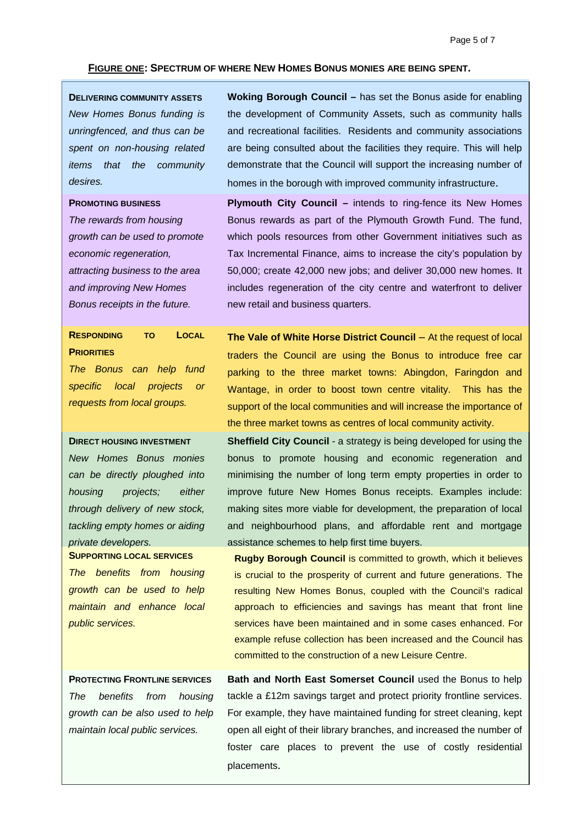#### **FIGURE ONE: SPECTRUM OF WHERE NEW HOMES BONUS MONIES ARE BEING SPENT.**

**DELIVERING COMMUNITY ASSETS** *New Homes Bonus funding is unringfenced, and thus can be spent on non-housing related items that the community desires.* 

#### **PROMOTING BUSINESS**

*The rewards from housing growth can be used to promote economic regeneration, attracting business to the area and improving New Homes Bonus receipts in the future.* 

## **RESPONDING TO LOCAL PRIORITIES**

*The Bonus can help fund specific local projects or requests from local groups.* 

#### **DIRECT HOUSING INVESTMENT**

*New Homes Bonus monies can be directly ploughed into housing projects; either through delivery of new stock, tackling empty homes or aiding private developers.* 

**SUPPORTING LOCAL SERVICES** *The benefits from housing growth can be used to help maintain and enhance local public services.* 

**PROTECTING FRONTLINE SERVICES** *The benefits from housing growth can be also used to help maintain local public services.* 

**Woking Borough Council –** has set the Bonus aside for enabling the development of Community Assets, such as community halls and recreational facilities. Residents and community associations are being consulted about the facilities they require. This will help demonstrate that the Council will support the increasing number of homes in the borough with improved community infrastructure.

**Plymouth City Council –** intends to ring-fence its New Homes Bonus rewards as part of the Plymouth Growth Fund. The fund, which pools resources from other Government initiatives such as Tax Incremental Finance, aims to increase the city's population by 50,000; create 42,000 new jobs; and deliver 30,000 new homes. It includes regeneration of the city centre and waterfront to deliver new retail and business quarters.

**The Vale of White Horse District Council –** At the request of local traders the Council are using the Bonus to introduce free car parking to the three market towns: Abingdon, Faringdon and Wantage, in order to boost town centre vitality. This has the support of the local communities and will increase the importance of the three market towns as centres of local community activity.

**Sheffield City Council** - a strategy is being developed for using the bonus to promote housing and economic regeneration and minimising the number of long term empty properties in order to improve future New Homes Bonus receipts. Examples include: making sites more viable for development, the preparation of local and neighbourhood plans, and affordable rent and mortgage assistance schemes to help first time buyers.

**Rugby Borough Council** is committed to growth, which it believes is crucial to the prosperity of current and future generations. The resulting New Homes Bonus, coupled with the Council's radical approach to efficiencies and savings has meant that front line services have been maintained and in some cases enhanced. For example refuse collection has been increased and the Council has committed to the construction of a new Leisure Centre.

**Bath and North East Somerset Council** used the Bonus to help tackle a £12m savings target and protect priority frontline services. For example, they have maintained funding for street cleaning, kept open all eight of their library branches, and increased the number of foster care places to prevent the use of costly residential placements.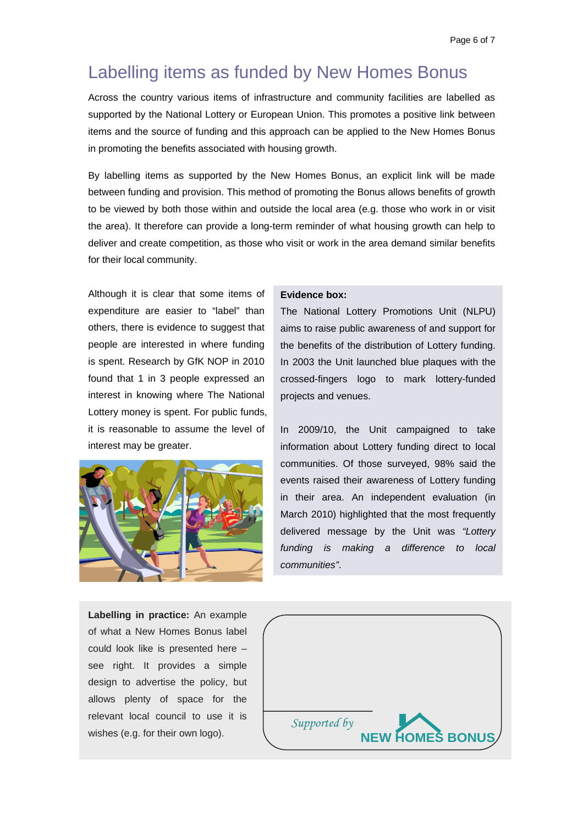# Labelling items as funded by New Homes Bonus

Across the country various items of infrastructure and community facilities are labelled as supported by the National Lottery or European Union. This promotes a positive link between items and the source of funding and this approach can be applied to the New Homes Bonus in promoting the benefits associated with housing growth.

By labelling items as supported by the New Homes Bonus, an explicit link will be made between funding and provision. This method of promoting the Bonus allows benefits of growth to be viewed by both those within and outside the local area (e.g. those who work in or visit the area). It therefore can provide a long-term reminder of what housing growth can help to deliver and create competition, as those who visit or work in the area demand similar benefits for their local community.

Although it is clear that some items of expenditure are easier to "label" than others, there is evidence to suggest that people are interested in where funding is spent. Research by GfK NOP in 2010 found that 1 in 3 people expressed an interest in knowing where The National Lottery money is spent. For public funds, it is reasonable to assume the level of interest may be greater.



#### **Evidence box:**

The National Lottery Promotions Unit (NLPU) aims to raise public awareness of and support for the benefits of the distribution of Lottery funding. In 2003 the Unit launched blue plaques with the crossed-fingers logo to mark lottery-funded projects and venues.

In 2009/10, the Unit campaigned to take information about Lottery funding direct to local communities. Of those surveyed, 98% said the events raised their awareness of Lottery funding in their area. An independent evaluation (in March 2010) highlighted that the most frequently delivered message by the Unit was *"Lottery funding is making a difference to local communities"*.

**Labelling in practice:** An example of what a New Homes Bonus label could look like is presented here – see right. It provides a simple design to advertise the policy, but allows plenty of space for the relevant local council to use it is wishes (e.g. for their own logo). *Supported by*